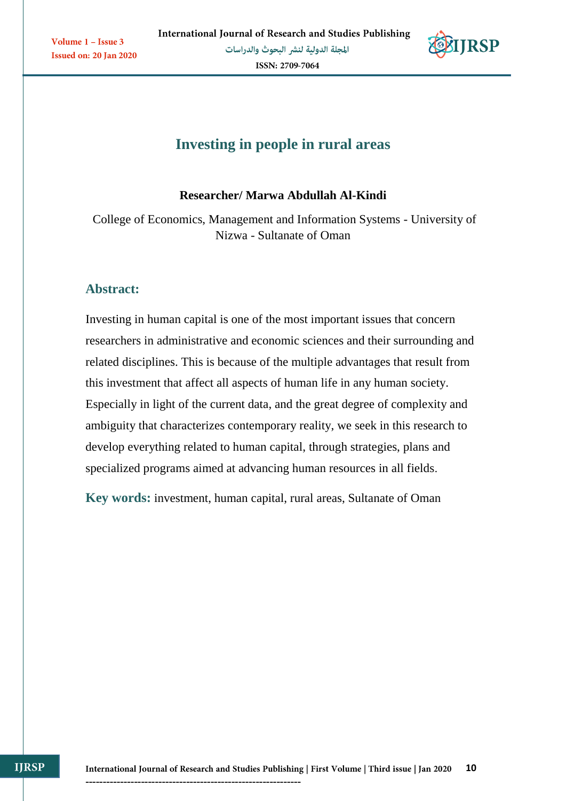

# **Investing in people in rural areas**

# **Researcher/ Marwa Abdullah Al-Kindi**

College of Economics, Management and Information Systems - University of Nizwa - Sultanate of Oman

# **Abstract:**

Investing in human capital is one of the most important issues that concern researchers in administrative and economic sciences and their surrounding and related disciplines. This is because of the multiple advantages that result from this investment that affect all aspects of human life in any human society. Especially in light of the current data, and the great degree of complexity and ambiguity that characterizes contemporary reality, we seek in this research to develop everything related to human capital, through strategies, plans and specialized programs aimed at advancing human resources in all fields.

**Key words:** investment, human capital, rural areas, Sultanate of Oman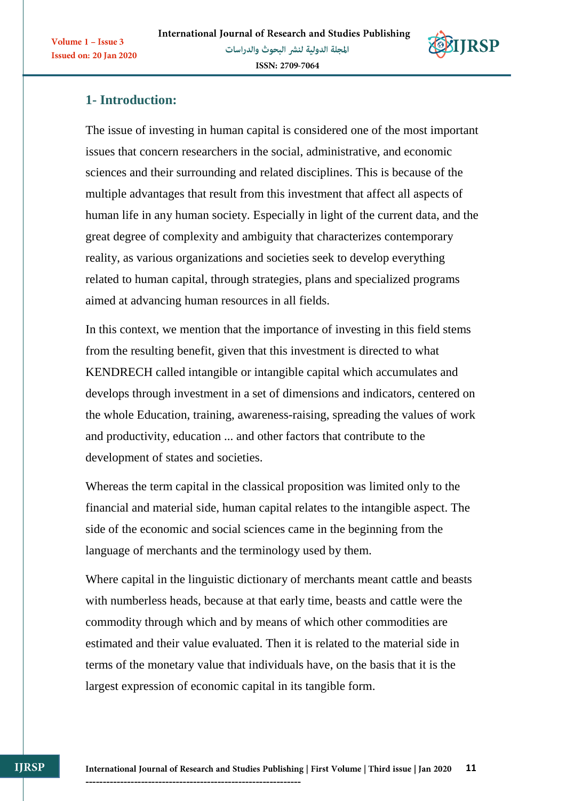

# **1- Introduction:**

Volume 1 - Issue 3

**Issued on: 20 Jan 2020** 

The issue of investing in human capital is considered one of the most important issues that concern researchers in the social, administrative, and economic sciences and their surrounding and related disciplines. This is because of the multiple advantages that result from this investment that affect all aspects of human life in any human society. Especially in light of the current data, and the great degree of complexity and ambiguity that characterizes contemporary reality, as various organizations and societies seek to develop everything related to human capital, through strategies, plans and specialized programs aimed at advancing human resources in all fields.

In this context, we mention that the importance of investing in this field stems from the resulting benefit, given that this investment is directed to what KENDRECH called intangible or intangible capital which accumulates and develops through investment in a set of dimensions and indicators, centered on the whole Education, training, awareness-raising, spreading the values of work and productivity, education ... and other factors that contribute to the development of states and societies.

Whereas the term capital in the classical proposition was limited only to the financial and material side, human capital relates to the intangible aspect. The side of the economic and social sciences came in the beginning from the language of merchants and the terminology used by them.

Where capital in the linguistic dictionary of merchants meant cattle and beasts with numberless heads, because at that early time, beasts and cattle were the commodity through which and by means of which other commodities are estimated and their value evaluated. Then it is related to the material side in terms of the monetary value that individuals have, on the basis that it is the largest expression of economic capital in its tangible form.

**IJRSP**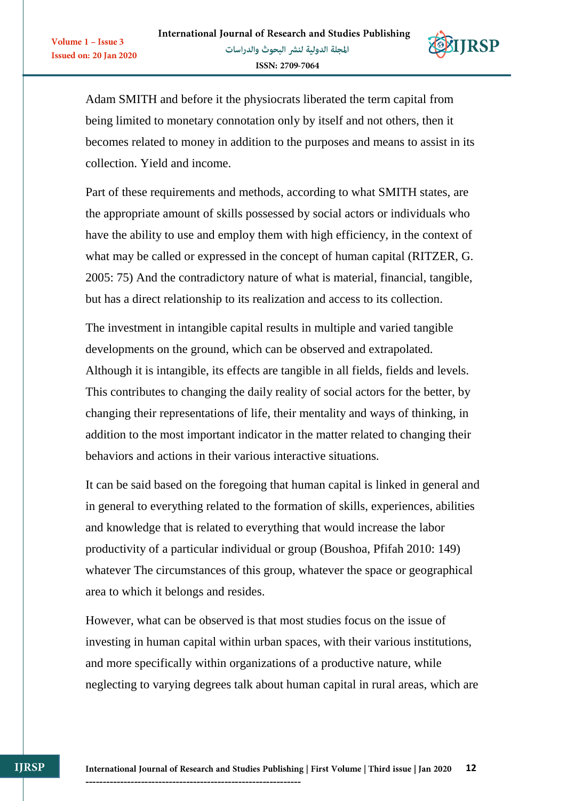Volume 1 - Issue 3

**Issued on: 20 Jan 2020** 



Adam SMITH and before it the physiocrats liberated the term capital from being limited to monetary connotation only by itself and not others, then it becomes related to money in addition to the purposes and means to assist in its collection. Yield and income.

Part of these requirements and methods, according to what SMITH states, are the appropriate amount of skills possessed by social actors or individuals who have the ability to use and employ them with high efficiency, in the context of what may be called or expressed in the concept of human capital (RITZER, G. 2005: 75) And the contradictory nature of what is material, financial, tangible, but has a direct relationship to its realization and access to its collection.

The investment in intangible capital results in multiple and varied tangible developments on the ground, which can be observed and extrapolated. Although it is intangible, its effects are tangible in all fields, fields and levels. This contributes to changing the daily reality of social actors for the better, by changing their representations of life, their mentality and ways of thinking, in addition to the most important indicator in the matter related to changing their behaviors and actions in their various interactive situations.

It can be said based on the foregoing that human capital is linked in general and in general to everything related to the formation of skills, experiences, abilities and knowledge that is related to everything that would increase the labor productivity of a particular individual or group (Boushoa, Pfifah 2010: 149) whatever The circumstances of this group, whatever the space or geographical area to which it belongs and resides.

However, what can be observed is that most studies focus on the issue of investing in human capital within urban spaces, with their various institutions, and more specifically within organizations of a productive nature, while neglecting to varying degrees talk about human capital in rural areas, which are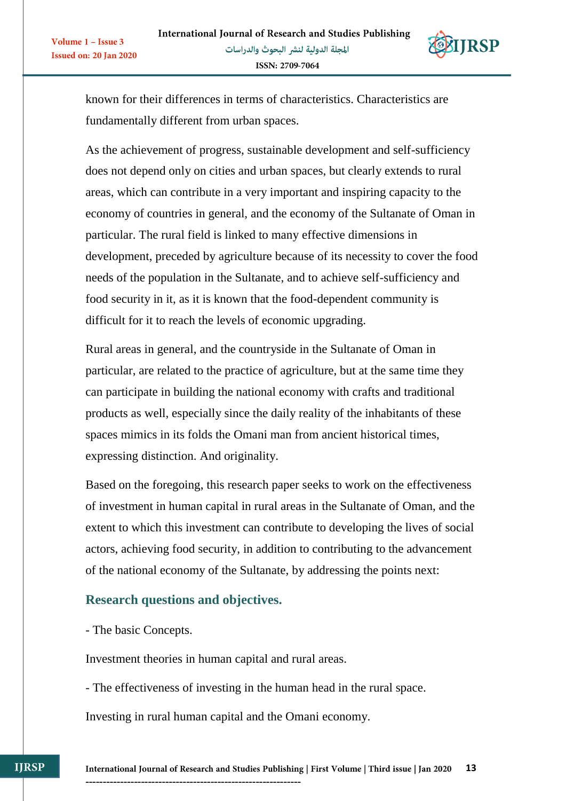

known for their differences in terms of characteristics. Characteristics are fundamentally different from urban spaces.

As the achievement of progress, sustainable development and self-sufficiency does not depend only on cities and urban spaces, but clearly extends to rural areas, which can contribute in a very important and inspiring capacity to the economy of countries in general, and the economy of the Sultanate of Oman in particular. The rural field is linked to many effective dimensions in development, preceded by agriculture because of its necessity to cover the food needs of the population in the Sultanate, and to achieve self-sufficiency and food security in it, as it is known that the food-dependent community is difficult for it to reach the levels of economic upgrading.

Rural areas in general, and the countryside in the Sultanate of Oman in particular, are related to the practice of agriculture, but at the same time they can participate in building the national economy with crafts and traditional products as well, especially since the daily reality of the inhabitants of these spaces mimics in its folds the Omani man from ancient historical times, expressing distinction. And originality.

Based on the foregoing, this research paper seeks to work on the effectiveness of investment in human capital in rural areas in the Sultanate of Oman, and the extent to which this investment can contribute to developing the lives of social actors, achieving food security, in addition to contributing to the advancement of the national economy of the Sultanate, by addressing the points next:

# **Research questions and objectives.**

- The basic Concepts.

Volume 1 - Issue 3

Issued on: 20 Jan 2020

Investment theories in human capital and rural areas.

- The effectiveness of investing in the human head in the rural space.

Investing in rural human capital and the Omani economy.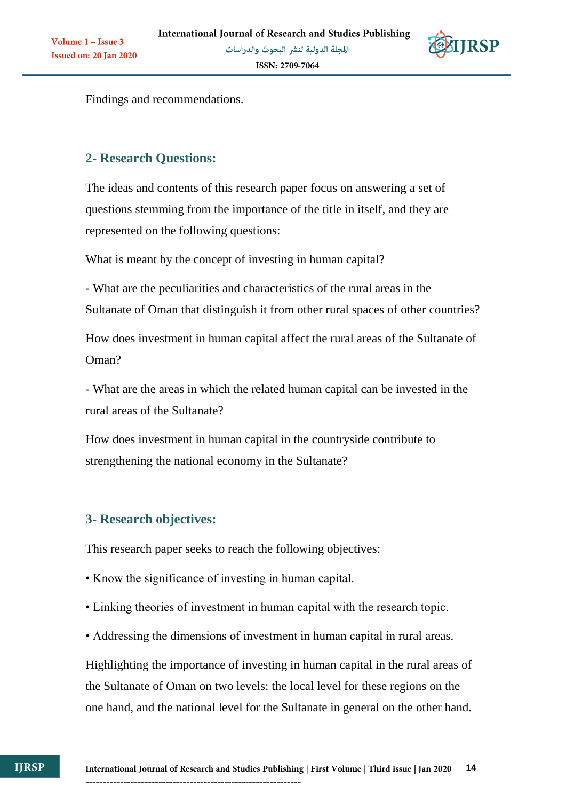

Findings and recommendations.

# **2- Research Questions:**

Volume 1 - Issue 3

**Issued on: 20 Jan 2020** 

The ideas and contents of this research paper focus on answering a set of questions stemming from the importance of the title in itself, and they are represented on the following questions:

What is meant by the concept of investing in human capital?

- What are the peculiarities and characteristics of the rural areas in the Sultanate of Oman that distinguish it from other rural spaces of other countries?

How does investment in human capital affect the rural areas of the Sultanate of Oman?

- What are the areas in which the related human capital can be invested in the rural areas of the Sultanate?

How does investment in human capital in the countryside contribute to strengthening the national economy in the Sultanate?

# **3- Research objectives:**

This research paper seeks to reach the following objectives:

• Know the significance of investing in human capital.

--------------------------------------------------------------

- Linking theories of investment in human capital with the research topic.
- Addressing the dimensions of investment in human capital in rural areas.

Highlighting the importance of investing in human capital in the rural areas of the Sultanate of Oman on two levels: the local level for these regions on the one hand, and the national level for the Sultanate in general on the other hand.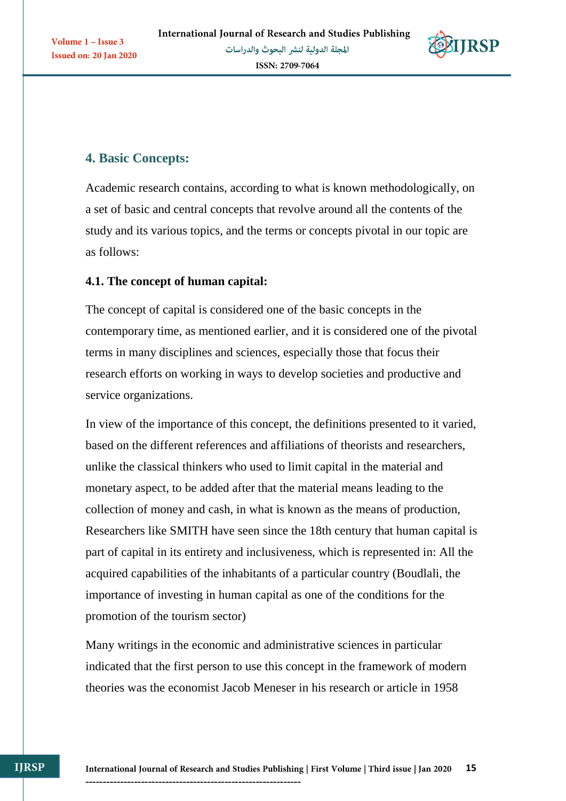

# **4. Basic Concepts:**

Academic research contains, according to what is known methodologically, on a set of basic and central concepts that revolve around all the contents of the study and its various topics, and the terms or concepts pivotal in our topic are as follows:

# **4.1. The concept of human capital:**

The concept of capital is considered one of the basic concepts in the contemporary time, as mentioned earlier, and it is considered one of the pivotal terms in many disciplines and sciences, especially those that focus their research efforts on working in ways to develop societies and productive and service organizations.

In view of the importance of this concept, the definitions presented to it varied, based on the different references and affiliations of theorists and researchers, unlike the classical thinkers who used to limit capital in the material and monetary aspect, to be added after that the material means leading to the collection of money and cash, in what is known as the means of production, Researchers like SMITH have seen since the 18th century that human capital is part of capital in its entirety and inclusiveness, which is represented in: All the acquired capabilities of the inhabitants of a particular country (Boudlali, the importance of investing in human capital as one of the conditions for the promotion of the tourism sector)

Many writings in the economic and administrative sciences in particular indicated that the first person to use this concept in the framework of modern theories was the economist Jacob Meneser in his research or article in 1958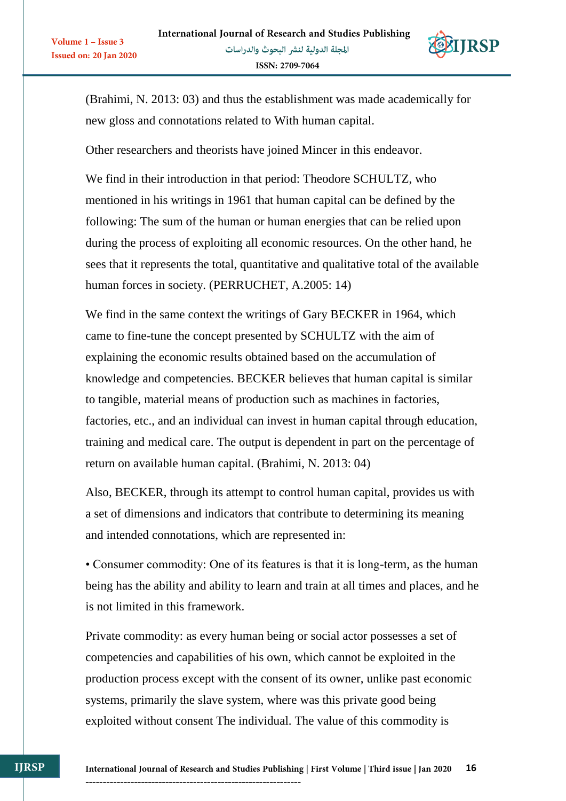

(Brahimi, N. 2013: 03) and thus the establishment was made academically for new gloss and connotations related to With human capital.

Other researchers and theorists have joined Mincer in this endeavor.

Volume 1 - Issue 3

Issued on: 20 Jan 2020

We find in their introduction in that period: Theodore SCHULTZ, who mentioned in his writings in 1961 that human capital can be defined by the following: The sum of the human or human energies that can be relied upon during the process of exploiting all economic resources. On the other hand, he sees that it represents the total, quantitative and qualitative total of the available human forces in society. (PERRUCHET, A.2005: 14)

We find in the same context the writings of Gary BECKER in 1964, which came to fine-tune the concept presented by SCHULTZ with the aim of explaining the economic results obtained based on the accumulation of knowledge and competencies. BECKER believes that human capital is similar to tangible, material means of production such as machines in factories, factories, etc., and an individual can invest in human capital through education, training and medical care. The output is dependent in part on the percentage of return on available human capital. (Brahimi, N. 2013: 04)

Also, BECKER, through its attempt to control human capital, provides us with a set of dimensions and indicators that contribute to determining its meaning and intended connotations, which are represented in:

• Consumer commodity: One of its features is that it is long-term, as the human being has the ability and ability to learn and train at all times and places, and he is not limited in this framework.

Private commodity: as every human being or social actor possesses a set of competencies and capabilities of his own, which cannot be exploited in the production process except with the consent of its owner, unlike past economic systems, primarily the slave system, where was this private good being exploited without consent The individual. The value of this commodity is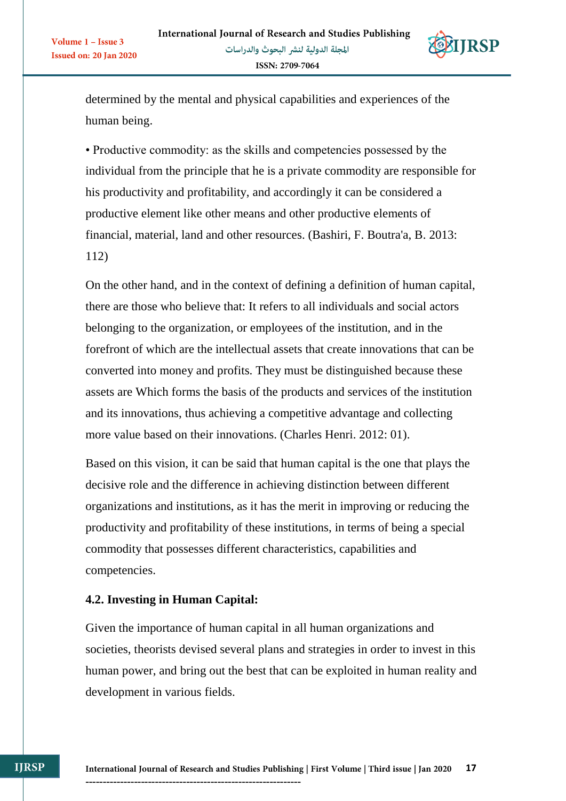

determined by the mental and physical capabilities and experiences of the human being.

• Productive commodity: as the skills and competencies possessed by the individual from the principle that he is a private commodity are responsible for his productivity and profitability, and accordingly it can be considered a productive element like other means and other productive elements of financial, material, land and other resources. (Bashiri, F. Boutra'a, B. 2013: 112)

On the other hand, and in the context of defining a definition of human capital, there are those who believe that: It refers to all individuals and social actors belonging to the organization, or employees of the institution, and in the forefront of which are the intellectual assets that create innovations that can be converted into money and profits. They must be distinguished because these assets are Which forms the basis of the products and services of the institution and its innovations, thus achieving a competitive advantage and collecting more value based on their innovations. (Charles Henri. 2012: 01).

Based on this vision, it can be said that human capital is the one that plays the decisive role and the difference in achieving distinction between different organizations and institutions, as it has the merit in improving or reducing the productivity and profitability of these institutions, in terms of being a special commodity that possesses different characteristics, capabilities and competencies.

# **4.2. Investing in Human Capital:**

Given the importance of human capital in all human organizations and societies, theorists devised several plans and strategies in order to invest in this human power, and bring out the best that can be exploited in human reality and development in various fields.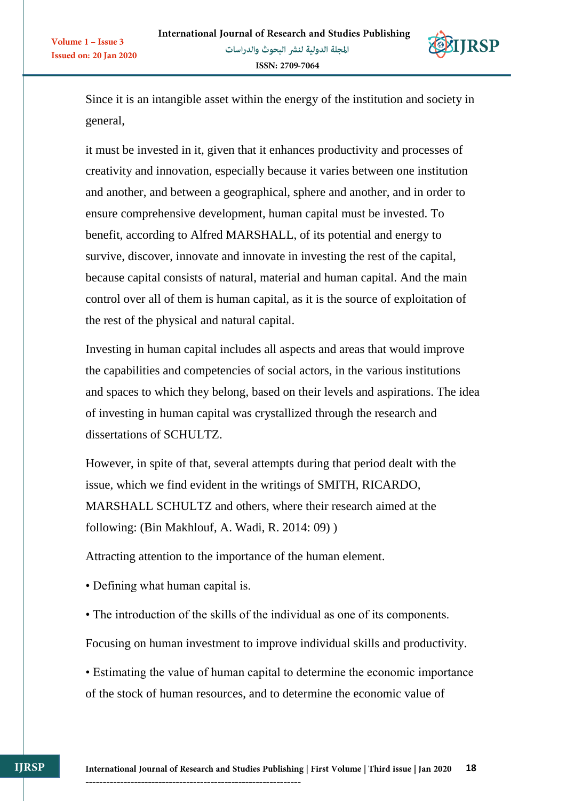

Since it is an intangible asset within the energy of the institution and society in general,

it must be invested in it, given that it enhances productivity and processes of creativity and innovation, especially because it varies between one institution and another, and between a geographical, sphere and another, and in order to ensure comprehensive development, human capital must be invested. To benefit, according to Alfred MARSHALL, of its potential and energy to survive, discover, innovate and innovate in investing the rest of the capital, because capital consists of natural, material and human capital. And the main control over all of them is human capital, as it is the source of exploitation of the rest of the physical and natural capital.

Investing in human capital includes all aspects and areas that would improve the capabilities and competencies of social actors, in the various institutions and spaces to which they belong, based on their levels and aspirations. The idea of investing in human capital was crystallized through the research and dissertations of SCHULTZ.

However, in spite of that, several attempts during that period dealt with the issue, which we find evident in the writings of SMITH, RICARDO, MARSHALL SCHULTZ and others, where their research aimed at the following: (Bin Makhlouf, A. Wadi, R. 2014: 09) )

Attracting attention to the importance of the human element.

• Defining what human capital is.

Volume 1 - Issue 3

Issued on: 20 Jan 2020

• The introduction of the skills of the individual as one of its components.

Focusing on human investment to improve individual skills and productivity.

• Estimating the value of human capital to determine the economic importance of the stock of human resources, and to determine the economic value of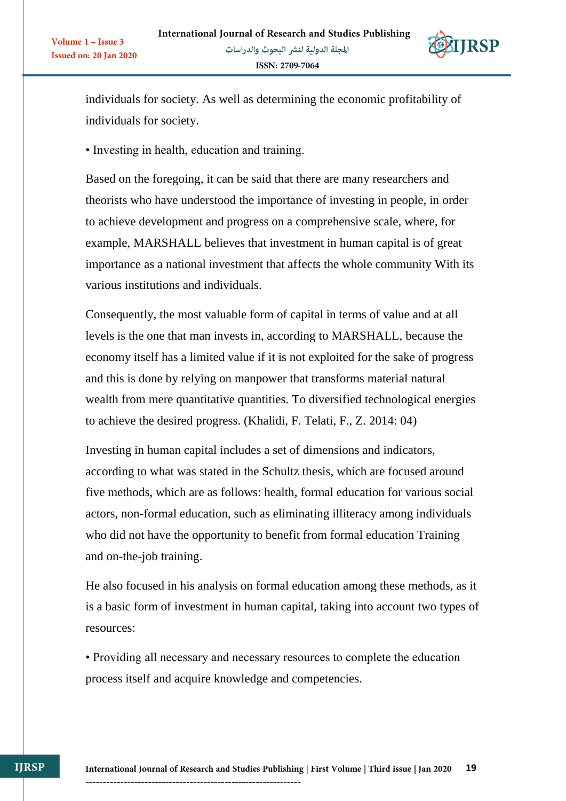

individuals for society. As well as determining the economic profitability of individuals for society.

• Investing in health, education and training.

Volume 1 - Issue 3

**Issued on: 20 Jan 2020** 

Based on the foregoing, it can be said that there are many researchers and theorists who have understood the importance of investing in people, in order to achieve development and progress on a comprehensive scale, where, for example, MARSHALL believes that investment in human capital is of great importance as a national investment that affects the whole community With its various institutions and individuals.

Consequently, the most valuable form of capital in terms of value and at all levels is the one that man invests in, according to MARSHALL, because the economy itself has a limited value if it is not exploited for the sake of progress and this is done by relying on manpower that transforms material natural wealth from mere quantitative quantities. To diversified technological energies to achieve the desired progress. (Khalidi, F. Telati, F., Z. 2014: 04)

Investing in human capital includes a set of dimensions and indicators, according to what was stated in the Schultz thesis, which are focused around five methods, which are as follows: health, formal education for various social actors, non-formal education, such as eliminating illiteracy among individuals who did not have the opportunity to benefit from formal education Training and on-the-job training.

He also focused in his analysis on formal education among these methods, as it is a basic form of investment in human capital, taking into account two types of resources:

• Providing all necessary and necessary resources to complete the education process itself and acquire knowledge and competencies.

**IJRSP**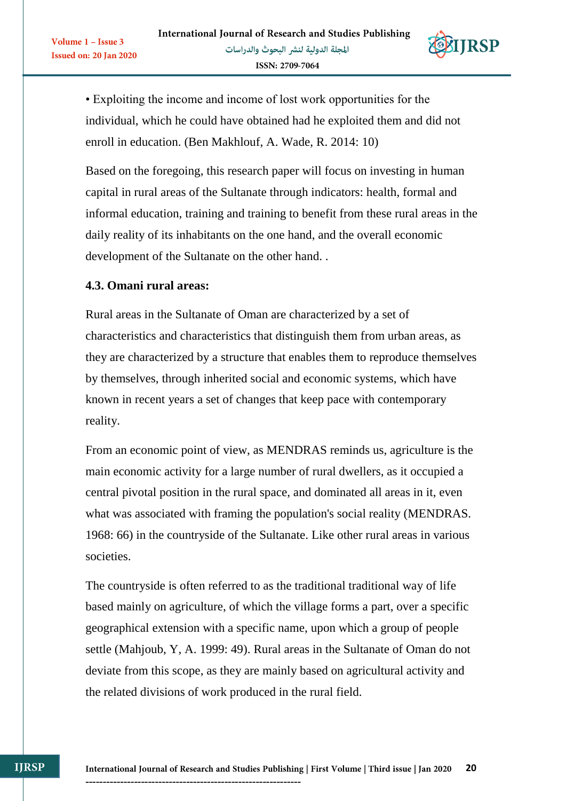

• Exploiting the income and income of lost work opportunities for the individual, which he could have obtained had he exploited them and did not enroll in education. (Ben Makhlouf, A. Wade, R. 2014: 10)

Based on the foregoing, this research paper will focus on investing in human capital in rural areas of the Sultanate through indicators: health, formal and informal education, training and training to benefit from these rural areas in the daily reality of its inhabitants on the one hand, and the overall economic development of the Sultanate on the other hand. .

#### **4.3. Omani rural areas:**

Volume 1 - Issue 3

**Issued on: 20 Jan 2020** 

Rural areas in the Sultanate of Oman are characterized by a set of characteristics and characteristics that distinguish them from urban areas, as they are characterized by a structure that enables them to reproduce themselves by themselves, through inherited social and economic systems, which have known in recent years a set of changes that keep pace with contemporary reality.

From an economic point of view, as MENDRAS reminds us, agriculture is the main economic activity for a large number of rural dwellers, as it occupied a central pivotal position in the rural space, and dominated all areas in it, even what was associated with framing the population's social reality (MENDRAS. 1968: 66) in the countryside of the Sultanate. Like other rural areas in various societies.

The countryside is often referred to as the traditional traditional way of life based mainly on agriculture, of which the village forms a part, over a specific geographical extension with a specific name, upon which a group of people settle (Mahjoub, Y, A. 1999: 49). Rural areas in the Sultanate of Oman do not deviate from this scope, as they are mainly based on agricultural activity and the related divisions of work produced in the rural field.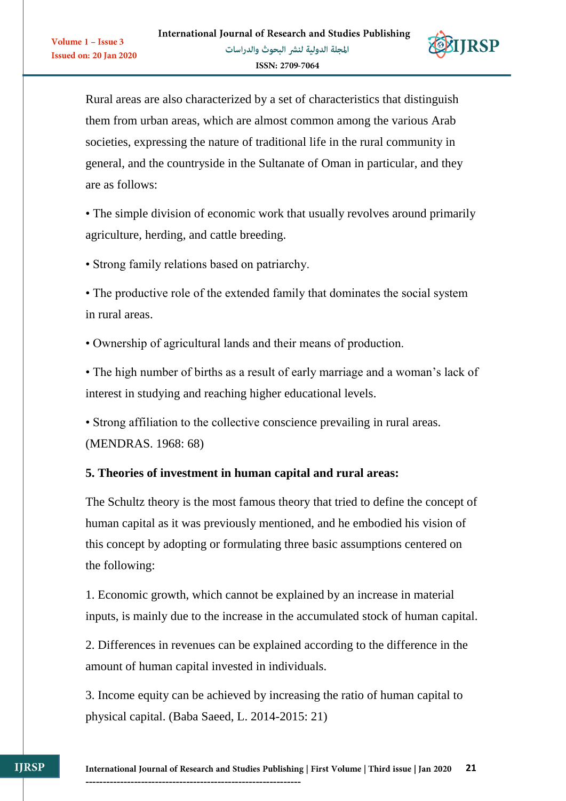

Rural areas are also characterized by a set of characteristics that distinguish them from urban areas, which are almost common among the various Arab societies, expressing the nature of traditional life in the rural community in general, and the countryside in the Sultanate of Oman in particular, and they are as follows:

• The simple division of economic work that usually revolves around primarily agriculture, herding, and cattle breeding.

• Strong family relations based on patriarchy.

Volume 1 - Issue 3

**Issued on: 20 Jan 2020** 

• The productive role of the extended family that dominates the social system in rural areas.

• Ownership of agricultural lands and their means of production.

• The high number of births as a result of early marriage and a woman's lack of interest in studying and reaching higher educational levels.

• Strong affiliation to the collective conscience prevailing in rural areas. (MENDRAS. 1968: 68)

# **5. Theories of investment in human capital and rural areas:**

The Schultz theory is the most famous theory that tried to define the concept of human capital as it was previously mentioned, and he embodied his vision of this concept by adopting or formulating three basic assumptions centered on the following:

1. Economic growth, which cannot be explained by an increase in material inputs, is mainly due to the increase in the accumulated stock of human capital.

2. Differences in revenues can be explained according to the difference in the amount of human capital invested in individuals.

3. Income equity can be achieved by increasing the ratio of human capital to physical capital. (Baba Saeed, L. 2014-2015: 21)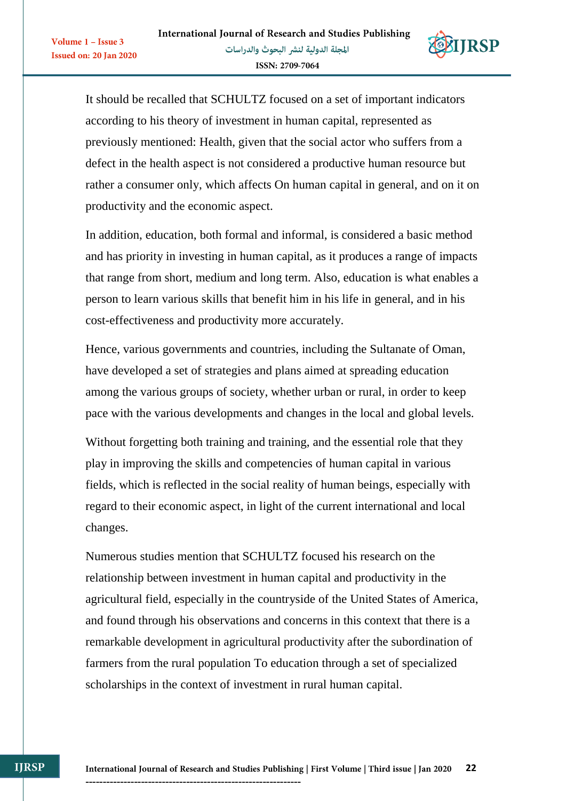Volume 1 - Issue 3

**Issued on: 20 Jan 2020** 



It should be recalled that SCHULTZ focused on a set of important indicators according to his theory of investment in human capital, represented as previously mentioned: Health, given that the social actor who suffers from a defect in the health aspect is not considered a productive human resource but rather a consumer only, which affects On human capital in general, and on it on productivity and the economic aspect.

In addition, education, both formal and informal, is considered a basic method and has priority in investing in human capital, as it produces a range of impacts that range from short, medium and long term. Also, education is what enables a person to learn various skills that benefit him in his life in general, and in his cost-effectiveness and productivity more accurately.

Hence, various governments and countries, including the Sultanate of Oman, have developed a set of strategies and plans aimed at spreading education among the various groups of society, whether urban or rural, in order to keep pace with the various developments and changes in the local and global levels.

Without forgetting both training and training, and the essential role that they play in improving the skills and competencies of human capital in various fields, which is reflected in the social reality of human beings, especially with regard to their economic aspect, in light of the current international and local changes.

Numerous studies mention that SCHULTZ focused his research on the relationship between investment in human capital and productivity in the agricultural field, especially in the countryside of the United States of America, and found through his observations and concerns in this context that there is a remarkable development in agricultural productivity after the subordination of farmers from the rural population To education through a set of specialized scholarships in the context of investment in rural human capital.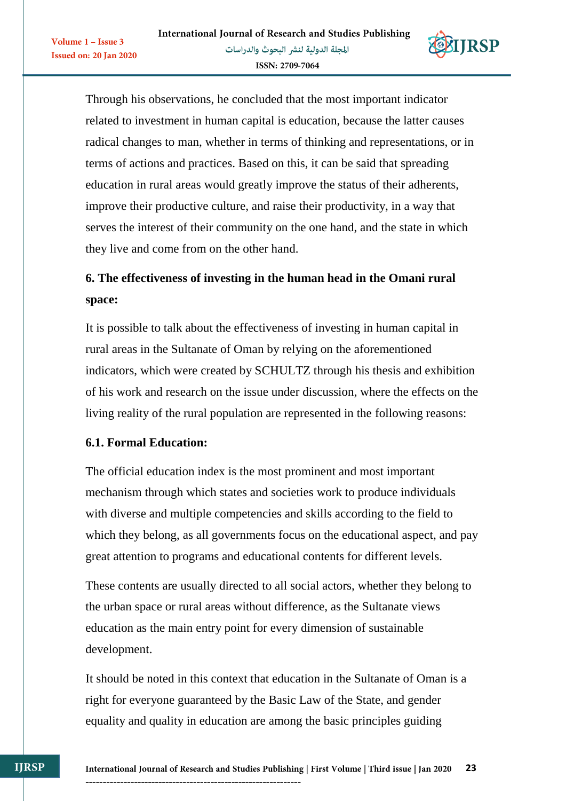

Through his observations, he concluded that the most important indicator related to investment in human capital is education, because the latter causes radical changes to man, whether in terms of thinking and representations, or in terms of actions and practices. Based on this, it can be said that spreading education in rural areas would greatly improve the status of their adherents, improve their productive culture, and raise their productivity, in a way that serves the interest of their community on the one hand, and the state in which they live and come from on the other hand.

# **6. The effectiveness of investing in the human head in the Omani rural space:**

It is possible to talk about the effectiveness of investing in human capital in rural areas in the Sultanate of Oman by relying on the aforementioned indicators, which were created by SCHULTZ through his thesis and exhibition of his work and research on the issue under discussion, where the effects on the living reality of the rural population are represented in the following reasons:

#### **6.1. Formal Education:**

Volume  $1 -$  Issue 3

**Issued on: 20 Jan 2020** 

The official education index is the most prominent and most important mechanism through which states and societies work to produce individuals with diverse and multiple competencies and skills according to the field to which they belong, as all governments focus on the educational aspect, and pay great attention to programs and educational contents for different levels.

These contents are usually directed to all social actors, whether they belong to the urban space or rural areas without difference, as the Sultanate views education as the main entry point for every dimension of sustainable development.

It should be noted in this context that education in the Sultanate of Oman is a right for everyone guaranteed by the Basic Law of the State, and gender equality and quality in education are among the basic principles guiding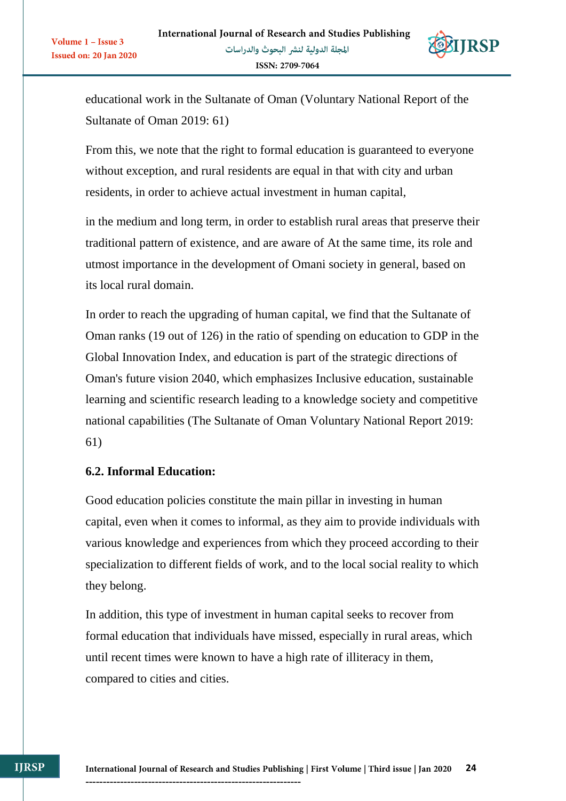

educational work in the Sultanate of Oman (Voluntary National Report of the Sultanate of Oman 2019: 61)

From this, we note that the right to formal education is guaranteed to everyone without exception, and rural residents are equal in that with city and urban residents, in order to achieve actual investment in human capital,

in the medium and long term, in order to establish rural areas that preserve their traditional pattern of existence, and are aware of At the same time, its role and utmost importance in the development of Omani society in general, based on its local rural domain.

In order to reach the upgrading of human capital, we find that the Sultanate of Oman ranks (19 out of 126) in the ratio of spending on education to GDP in the Global Innovation Index, and education is part of the strategic directions of Oman's future vision 2040, which emphasizes Inclusive education, sustainable learning and scientific research leading to a knowledge society and competitive national capabilities (The Sultanate of Oman Voluntary National Report 2019: 61)

#### **6.2. Informal Education:**

Volume  $1 -$  Issue 3

**Issued on: 20 Jan 2020** 

Good education policies constitute the main pillar in investing in human capital, even when it comes to informal, as they aim to provide individuals with various knowledge and experiences from which they proceed according to their specialization to different fields of work, and to the local social reality to which they belong.

In addition, this type of investment in human capital seeks to recover from formal education that individuals have missed, especially in rural areas, which until recent times were known to have a high rate of illiteracy in them, compared to cities and cities.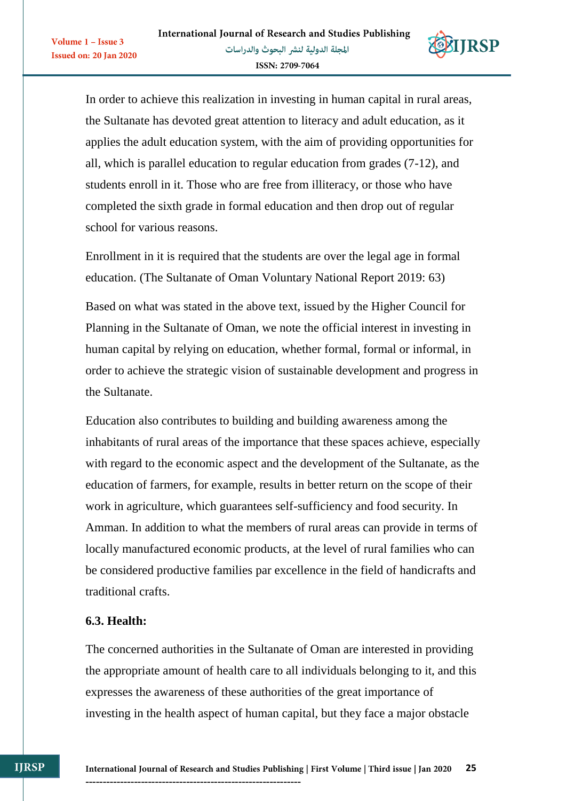

In order to achieve this realization in investing in human capital in rural areas, the Sultanate has devoted great attention to literacy and adult education, as it applies the adult education system, with the aim of providing opportunities for all, which is parallel education to regular education from grades (7-12), and students enroll in it. Those who are free from illiteracy, or those who have completed the sixth grade in formal education and then drop out of regular school for various reasons.

Enrollment in it is required that the students are over the legal age in formal education. (The Sultanate of Oman Voluntary National Report 2019: 63)

Based on what was stated in the above text, issued by the Higher Council for Planning in the Sultanate of Oman, we note the official interest in investing in human capital by relying on education, whether formal, formal or informal, in order to achieve the strategic vision of sustainable development and progress in the Sultanate.

Education also contributes to building and building awareness among the inhabitants of rural areas of the importance that these spaces achieve, especially with regard to the economic aspect and the development of the Sultanate, as the education of farmers, for example, results in better return on the scope of their work in agriculture, which guarantees self-sufficiency and food security. In Amman. In addition to what the members of rural areas can provide in terms of locally manufactured economic products, at the level of rural families who can be considered productive families par excellence in the field of handicrafts and traditional crafts.

#### **6.3. Health:**

Volume 1 - Issue 3

**Issued on: 20 Jan 2020** 

The concerned authorities in the Sultanate of Oman are interested in providing the appropriate amount of health care to all individuals belonging to it, and this expresses the awareness of these authorities of the great importance of investing in the health aspect of human capital, but they face a major obstacle

--------------------------------------------------------------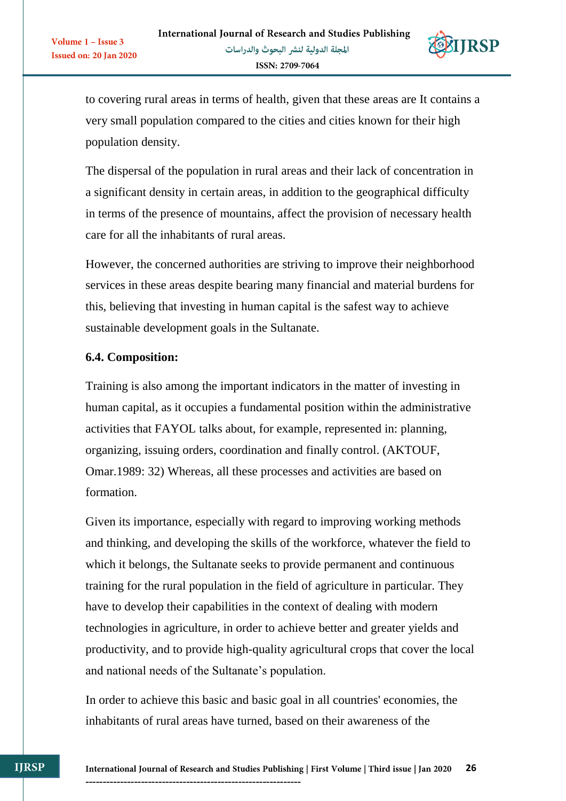

to covering rural areas in terms of health, given that these areas are It contains a very small population compared to the cities and cities known for their high population density.

The dispersal of the population in rural areas and their lack of concentration in a significant density in certain areas, in addition to the geographical difficulty in terms of the presence of mountains, affect the provision of necessary health care for all the inhabitants of rural areas.

However, the concerned authorities are striving to improve their neighborhood services in these areas despite bearing many financial and material burdens for this, believing that investing in human capital is the safest way to achieve sustainable development goals in the Sultanate.

## **6.4. Composition:**

Volume 1 - Issue 3

**Issued on: 20 Jan 2020** 

Training is also among the important indicators in the matter of investing in human capital, as it occupies a fundamental position within the administrative activities that FAYOL talks about, for example, represented in: planning, organizing, issuing orders, coordination and finally control. (AKTOUF, Omar.1989: 32) Whereas, all these processes and activities are based on formation.

Given its importance, especially with regard to improving working methods and thinking, and developing the skills of the workforce, whatever the field to which it belongs, the Sultanate seeks to provide permanent and continuous training for the rural population in the field of agriculture in particular. They have to develop their capabilities in the context of dealing with modern technologies in agriculture, in order to achieve better and greater yields and productivity, and to provide high-quality agricultural crops that cover the local and national needs of the Sultanate's population.

In order to achieve this basic and basic goal in all countries' economies, the inhabitants of rural areas have turned, based on their awareness of the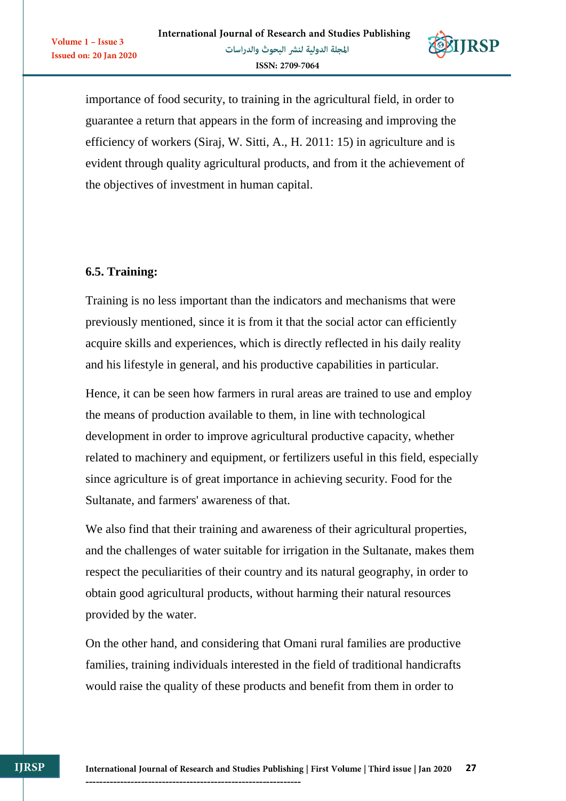

importance of food security, to training in the agricultural field, in order to guarantee a return that appears in the form of increasing and improving the efficiency of workers (Siraj, W. Sitti, A., H. 2011: 15) in agriculture and is evident through quality agricultural products, and from it the achievement of the objectives of investment in human capital.

# **6.5. Training:**

Volume 1 - Issue 3

**Issued on: 20 Jan 2020** 

Training is no less important than the indicators and mechanisms that were previously mentioned, since it is from it that the social actor can efficiently acquire skills and experiences, which is directly reflected in his daily reality and his lifestyle in general, and his productive capabilities in particular.

Hence, it can be seen how farmers in rural areas are trained to use and employ the means of production available to them, in line with technological development in order to improve agricultural productive capacity, whether related to machinery and equipment, or fertilizers useful in this field, especially since agriculture is of great importance in achieving security. Food for the Sultanate, and farmers' awareness of that.

We also find that their training and awareness of their agricultural properties, and the challenges of water suitable for irrigation in the Sultanate, makes them respect the peculiarities of their country and its natural geography, in order to obtain good agricultural products, without harming their natural resources provided by the water.

On the other hand, and considering that Omani rural families are productive families, training individuals interested in the field of traditional handicrafts would raise the quality of these products and benefit from them in order to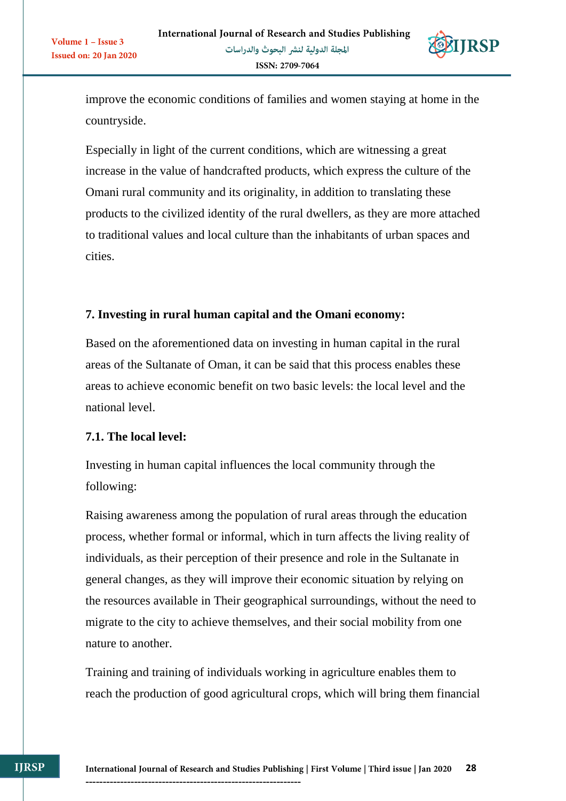

improve the economic conditions of families and women staying at home in the countryside.

Especially in light of the current conditions, which are witnessing a great increase in the value of handcrafted products, which express the culture of the Omani rural community and its originality, in addition to translating these products to the civilized identity of the rural dwellers, as they are more attached to traditional values and local culture than the inhabitants of urban spaces and cities.

## **7. Investing in rural human capital and the Omani economy:**

Based on the aforementioned data on investing in human capital in the rural areas of the Sultanate of Oman, it can be said that this process enables these areas to achieve economic benefit on two basic levels: the local level and the national level.

#### **7.1. The local level:**

Volume 1 - Issue 3

Issued on: 20 Jan 2020

Investing in human capital influences the local community through the following:

Raising awareness among the population of rural areas through the education process, whether formal or informal, which in turn affects the living reality of individuals, as their perception of their presence and role in the Sultanate in general changes, as they will improve their economic situation by relying on the resources available in Their geographical surroundings, without the need to migrate to the city to achieve themselves, and their social mobility from one nature to another.

Training and training of individuals working in agriculture enables them to reach the production of good agricultural crops, which will bring them financial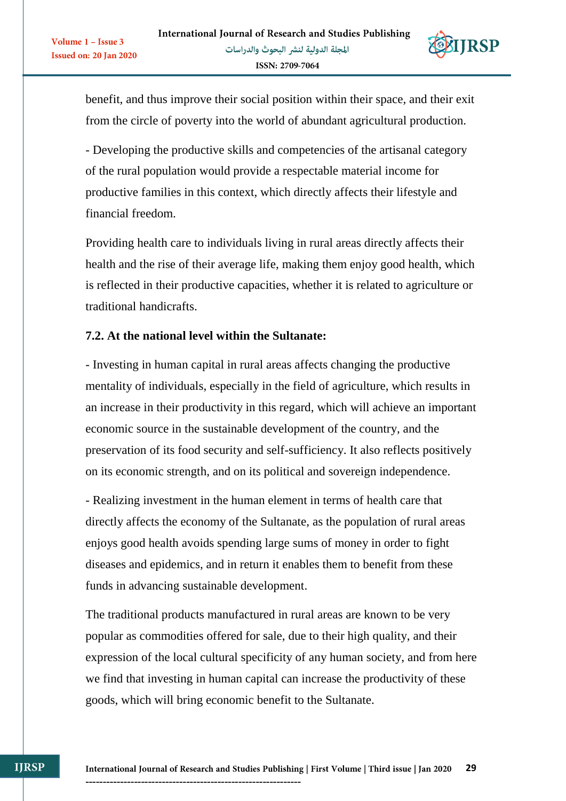

benefit, and thus improve their social position within their space, and their exit from the circle of poverty into the world of abundant agricultural production.

- Developing the productive skills and competencies of the artisanal category of the rural population would provide a respectable material income for productive families in this context, which directly affects their lifestyle and financial freedom.

Providing health care to individuals living in rural areas directly affects their health and the rise of their average life, making them enjoy good health, which is reflected in their productive capacities, whether it is related to agriculture or traditional handicrafts.

#### **7.2. At the national level within the Sultanate:**

Volume 1 - Issue 3

**Issued on: 20 Jan 2020** 

- Investing in human capital in rural areas affects changing the productive mentality of individuals, especially in the field of agriculture, which results in an increase in their productivity in this regard, which will achieve an important economic source in the sustainable development of the country, and the preservation of its food security and self-sufficiency. It also reflects positively on its economic strength, and on its political and sovereign independence.

- Realizing investment in the human element in terms of health care that directly affects the economy of the Sultanate, as the population of rural areas enjoys good health avoids spending large sums of money in order to fight diseases and epidemics, and in return it enables them to benefit from these funds in advancing sustainable development.

The traditional products manufactured in rural areas are known to be very popular as commodities offered for sale, due to their high quality, and their expression of the local cultural specificity of any human society, and from here we find that investing in human capital can increase the productivity of these goods, which will bring economic benefit to the Sultanate.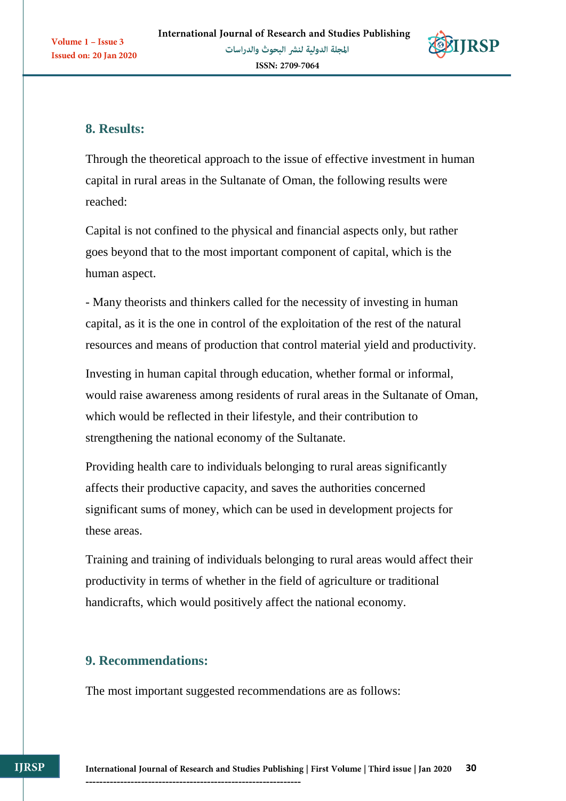

# **8. Results:**

Through the theoretical approach to the issue of effective investment in human capital in rural areas in the Sultanate of Oman, the following results were reached:

Capital is not confined to the physical and financial aspects only, but rather goes beyond that to the most important component of capital, which is the human aspect.

- Many theorists and thinkers called for the necessity of investing in human capital, as it is the one in control of the exploitation of the rest of the natural resources and means of production that control material yield and productivity.

Investing in human capital through education, whether formal or informal, would raise awareness among residents of rural areas in the Sultanate of Oman, which would be reflected in their lifestyle, and their contribution to strengthening the national economy of the Sultanate.

Providing health care to individuals belonging to rural areas significantly affects their productive capacity, and saves the authorities concerned significant sums of money, which can be used in development projects for these areas.

Training and training of individuals belonging to rural areas would affect their productivity in terms of whether in the field of agriculture or traditional handicrafts, which would positively affect the national economy.

# **9. Recommendations:**

**IJRSP** 

The most important suggested recommendations are as follows: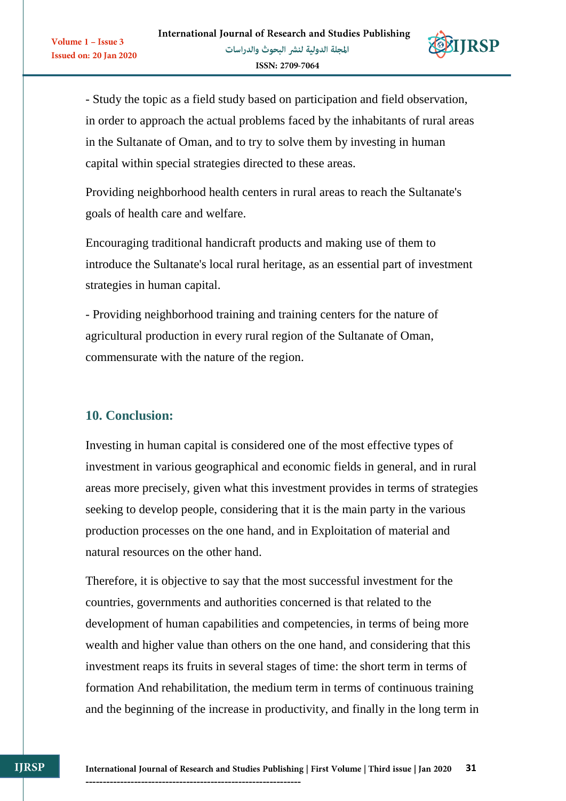

**31**

- Study the topic as a field study based on participation and field observation, in order to approach the actual problems faced by the inhabitants of rural areas in the Sultanate of Oman, and to try to solve them by investing in human capital within special strategies directed to these areas.

Providing neighborhood health centers in rural areas to reach the Sultanate's goals of health care and welfare.

Encouraging traditional handicraft products and making use of them to introduce the Sultanate's local rural heritage, as an essential part of investment strategies in human capital.

- Providing neighborhood training and training centers for the nature of agricultural production in every rural region of the Sultanate of Oman, commensurate with the nature of the region.

#### **10. Conclusion:**

Volume 1 - Issue 3

**Issued on: 20 Jan 2020** 

Investing in human capital is considered one of the most effective types of investment in various geographical and economic fields in general, and in rural areas more precisely, given what this investment provides in terms of strategies seeking to develop people, considering that it is the main party in the various production processes on the one hand, and in Exploitation of material and natural resources on the other hand.

Therefore, it is objective to say that the most successful investment for the countries, governments and authorities concerned is that related to the development of human capabilities and competencies, in terms of being more wealth and higher value than others on the one hand, and considering that this investment reaps its fruits in several stages of time: the short term in terms of formation And rehabilitation, the medium term in terms of continuous training and the beginning of the increase in productivity, and finally in the long term in

**IJRSP**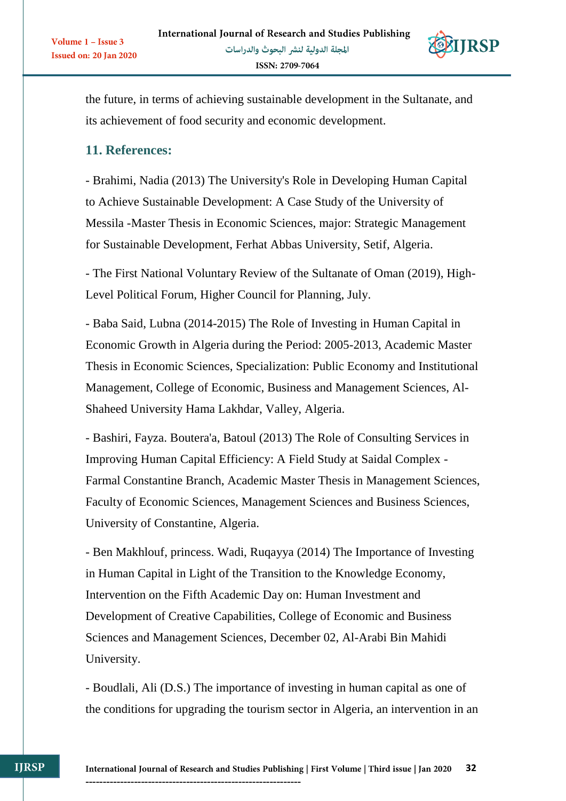

the future, in terms of achieving sustainable development in the Sultanate, and its achievement of food security and economic development.

## **11. References:**

Volume 1 - Issue 3

Issued on: 20 Jan 2020

- Brahimi, Nadia (2013) The University's Role in Developing Human Capital to Achieve Sustainable Development: A Case Study of the University of Messila -Master Thesis in Economic Sciences, major: Strategic Management for Sustainable Development, Ferhat Abbas University, Setif, Algeria.

- The First National Voluntary Review of the Sultanate of Oman (2019), High-Level Political Forum, Higher Council for Planning, July.

- Baba Said, Lubna (2014-2015) The Role of Investing in Human Capital in Economic Growth in Algeria during the Period: 2005-2013, Academic Master Thesis in Economic Sciences, Specialization: Public Economy and Institutional Management, College of Economic, Business and Management Sciences, Al-Shaheed University Hama Lakhdar, Valley, Algeria.

- Bashiri, Fayza. Boutera'a, Batoul (2013) The Role of Consulting Services in Improving Human Capital Efficiency: A Field Study at Saidal Complex - Farmal Constantine Branch, Academic Master Thesis in Management Sciences, Faculty of Economic Sciences, Management Sciences and Business Sciences, University of Constantine, Algeria.

- Ben Makhlouf, princess. Wadi, Ruqayya (2014) The Importance of Investing in Human Capital in Light of the Transition to the Knowledge Economy, Intervention on the Fifth Academic Day on: Human Investment and Development of Creative Capabilities, College of Economic and Business Sciences and Management Sciences, December 02, Al-Arabi Bin Mahidi University.

- Boudlali, Ali (D.S.) The importance of investing in human capital as one of the conditions for upgrading the tourism sector in Algeria, an intervention in an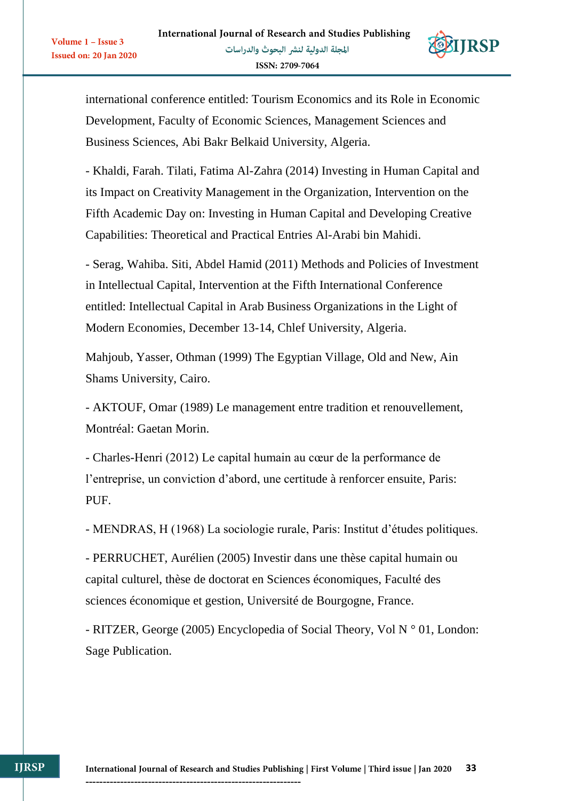Volume 1 - Issue 3

**Issued on: 20 Jan 2020** 



international conference entitled: Tourism Economics and its Role in Economic Development, Faculty of Economic Sciences, Management Sciences and Business Sciences, Abi Bakr Belkaid University, Algeria.

- Khaldi, Farah. Tilati, Fatima Al-Zahra (2014) Investing in Human Capital and its Impact on Creativity Management in the Organization, Intervention on the Fifth Academic Day on: Investing in Human Capital and Developing Creative Capabilities: Theoretical and Practical Entries Al-Arabi bin Mahidi.

- Serag, Wahiba. Siti, Abdel Hamid (2011) Methods and Policies of Investment in Intellectual Capital, Intervention at the Fifth International Conference entitled: Intellectual Capital in Arab Business Organizations in the Light of Modern Economies, December 13-14, Chlef University, Algeria.

Mahjoub, Yasser, Othman (1999) The Egyptian Village, Old and New, Ain Shams University, Cairo.

- AKTOUF, Omar (1989) Le management entre tradition et renouvellement, Montréal: Gaetan Morin.

- Charles-Henri (2012) Le capital humain au cœur de la performance de l'entreprise, un conviction d'abord, une certitude à renforcer ensuite, Paris: PUF.

- MENDRAS, H (1968) La sociologie rurale, Paris: Institut d'études politiques.

- PERRUCHET, Aurélien (2005) Investir dans une thèse capital humain ou capital culturel, thèse de doctorat en Sciences économiques, Faculté des sciences économique et gestion, Université de Bourgogne, France.

- RITZER, George (2005) Encyclopedia of Social Theory, Vol N ° 01, London: Sage Publication.